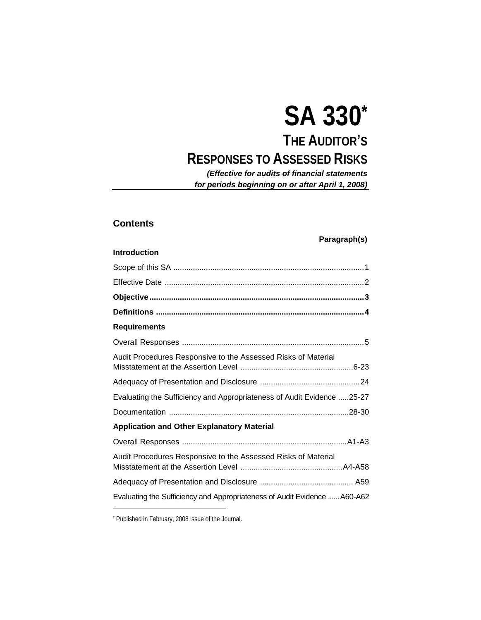# **SA 330\* THE AUDITOR'S RESPONSES TO ASSESSED RISKS** *(Effective for audits of financial statements*

*for periods beginning on or after April 1, 2008)*

# **Contents**

**Introduction**

## **Paragraph(s)**

| <b>Requirements</b>                                                       |  |
|---------------------------------------------------------------------------|--|
|                                                                           |  |
| Audit Procedures Responsive to the Assessed Risks of Material             |  |
|                                                                           |  |
| Evaluating the Sufficiency and Appropriateness of Audit Evidence 25-27    |  |
|                                                                           |  |
| <b>Application and Other Explanatory Material</b>                         |  |
|                                                                           |  |
| Audit Procedures Responsive to the Assessed Risks of Material             |  |
|                                                                           |  |
| Evaluating the Sufficiency and Appropriateness of Audit Evidence  A60-A62 |  |
|                                                                           |  |

\* Published in February, 2008 issue of the Journal.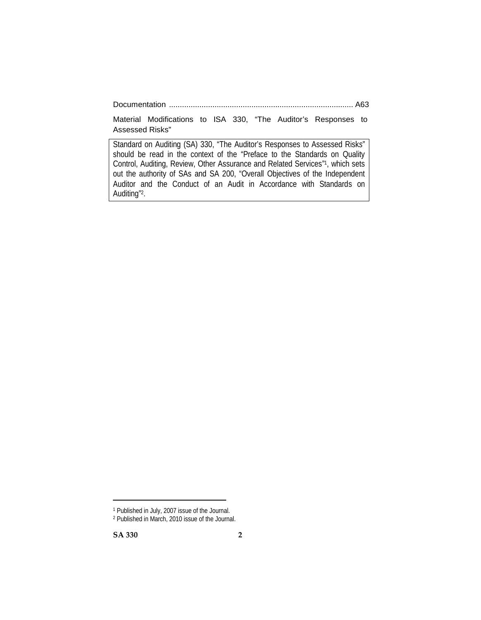Documentation ..................................................................................... A63

Material Modifications to ISA 330, "The Auditor's Responses to Assessed Risks"

Standard on Auditing (SA) 330, "The Auditor's Responses to Assessed Risk*s*" should be read in the context of the "Preface to the Standards on Quality Control, Auditing, Review, Other Assurance and Related Services"<sup>1</sup>, which sets out the authority of SAs and SA 200, "Overall Objectives of the Independent Auditor and the Conduct of an Audit in Accordance with Standards on Auditing"<sup>2</sup>.

<sup>1</sup> Published in July, 2007 issue of the Journal.

<sup>2</sup> Published in March, 2010 issue of the Journal.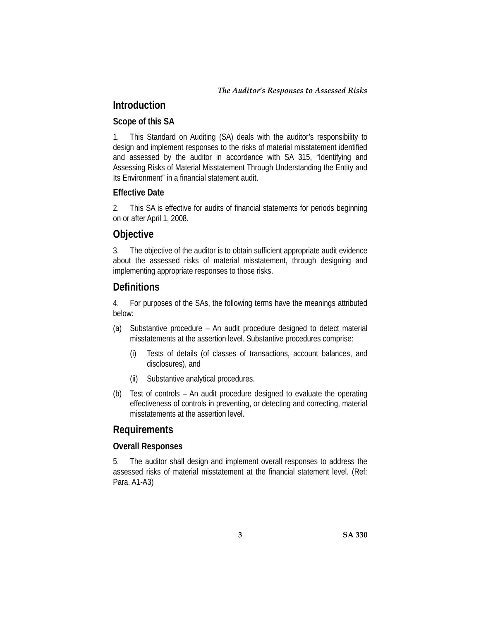## **Introduction**

## **Scope of this SA**

1. This Standard on Auditing (SA) deals with the auditor's responsibility to design and implement responses to the risks of material misstatement identified and assessed by the auditor in accordance with SA 315, "Identifying and Assessing Risks of Material Misstatement Through Understanding the Entity and Its Environment" in a financial statement audit.

## **Effective Date**

2. This SA is effective for audits of financial statements for periods beginning on or after April 1, 2008.

# **Objective**

3. The objective of the auditor is to obtain sufficient appropriate audit evidence about the assessed risks of material misstatement, through designing and implementing appropriate responses to those risks.

# **Definitions**

4. For purposes of the SAs, the following terms have the meanings attributed below:

- (a) Substantive procedure An audit procedure designed to detect material misstatements at the assertion level. Substantive procedures comprise:
	- (i) Tests of details (of classes of transactions, account balances, and disclosures), and
	- (ii) Substantive analytical procedures.
- (b) Test of controls An audit procedure designed to evaluate the operating effectiveness of controls in preventing, or detecting and correcting, material misstatements at the assertion level.

# **Requirements**

## **Overall Responses**

5. The auditor shall design and implement overall responses to address the assessed risks of material misstatement at the financial statement level. (Ref: Para. A1-A3)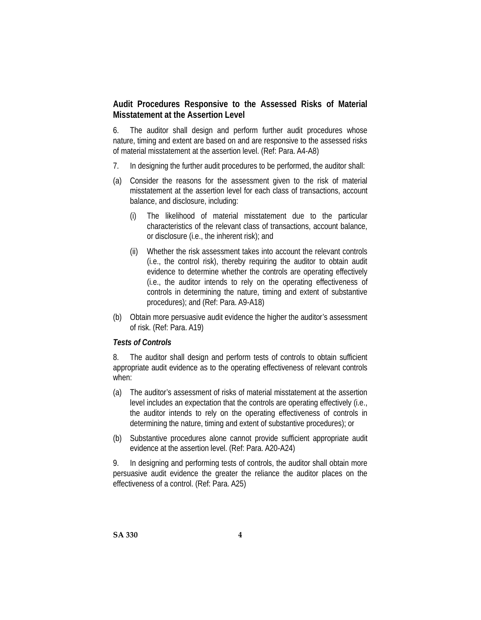**Audit Procedures Responsive to the Assessed Risks of Material Misstatement at the Assertion Level**

6. The auditor shall design and perform further audit procedures whose nature, timing and extent are based on and are responsive to the assessed risks of material misstatement at the assertion level. (Ref: Para. A4-A8)

- 7. In designing the further audit procedures to be performed, the auditor shall:
- (a) Consider the reasons for the assessment given to the risk of material misstatement at the assertion level for each class of transactions, account balance, and disclosure, including:
	- (i) The likelihood of material misstatement due to the particular characteristics of the relevant class of transactions, account balance, or disclosure (i.e., the inherent risk); and
	- (ii) Whether the risk assessment takes into account the relevant controls (i.e., the control risk), thereby requiring the auditor to obtain audit evidence to determine whether the controls are operating effectively (i.e., the auditor intends to rely on the operating effectiveness of controls in determining the nature, timing and extent of substantive procedures); and (Ref: Para. A9-A18)
- (b) Obtain more persuasive audit evidence the higher the auditor's assessment of risk. (Ref: Para. A19)

*Tests of Controls*

8. The auditor shall design and perform tests of controls to obtain sufficient appropriate audit evidence as to the operating effectiveness of relevant controls when:

- (a) The auditor's assessment of risks of material misstatement at the assertion level includes an expectation that the controls are operating effectively (i.e., the auditor intends to rely on the operating effectiveness of controls in determining the nature, timing and extent of substantive procedures); or
- (b) Substantive procedures alone cannot provide sufficient appropriate audit evidence at the assertion level. (Ref: Para. A20-A24)

9. In designing and performing tests of controls, the auditor shall obtain more persuasive audit evidence the greater the reliance the auditor places on the effectiveness of a control. (Ref: Para. A25)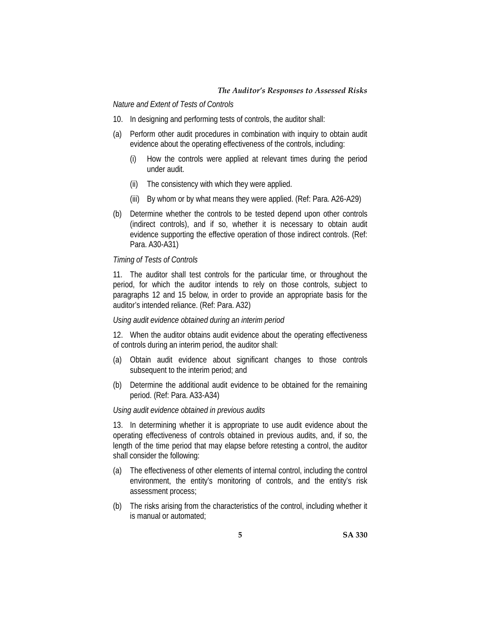*Nature and Extent of Tests of Controls*

- 10. In designing and performing tests of controls, the auditor shall:
- (a) Perform other audit procedures in combination with inquiry to obtain audit evidence about the operating effectiveness of the controls, including:
	- (i) How the controls were applied at relevant times during the period under audit.
	- (ii) The consistency with which they were applied.
	- (iii) By whom or by what means they were applied. (Ref: Para. A26-A29)
- (b) Determine whether the controls to be tested depend upon other controls (indirect controls), and if so, whether it is necessary to obtain audit evidence supporting the effective operation of those indirect controls. (Ref: Para. A30-A31)

#### *Timing of Tests of Controls*

11. The auditor shall test controls for the particular time, or throughout the period, for which the auditor intends to rely on those controls, subject to paragraphs 12 and 15 below, in order to provide an appropriate basis for the auditor's intended reliance. (Ref: Para. A32)

*Using audit evidence obtained during an interim period*

12. When the auditor obtains audit evidence about the operating effectiveness of controls during an interim period, the auditor shall:

- (a) Obtain audit evidence about significant changes to those controls subsequent to the interim period; and
- (b) Determine the additional audit evidence to be obtained for the remaining period. (Ref: Para. A33-A34)

*Using audit evidence obtained in previous audits*

13. In determining whether it is appropriate to use audit evidence about the operating effectiveness of controls obtained in previous audits, and, if so, the length of the time period that may elapse before retesting a control, the auditor shall consider the following:

- (a) The effectiveness of other elements of internal control, including the control environment, the entity's monitoring of controls, and the entity's risk assessment process;
- (b) The risks arising from the characteristics of the control, including whether it is manual or automated;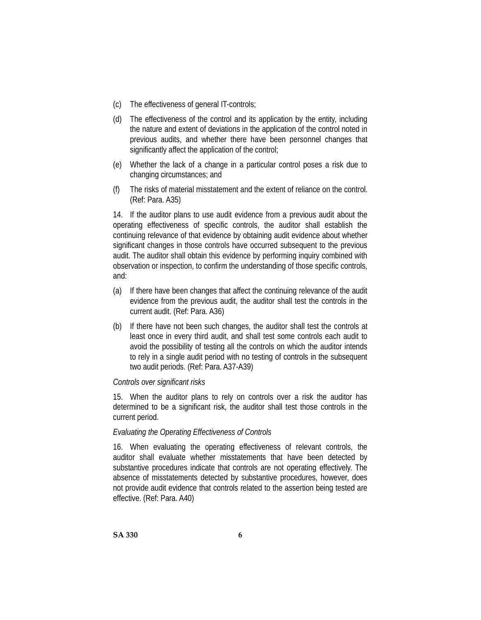- (c) The effectiveness of general IT-controls;
- (d) The effectiveness of the control and its application by the entity, including the nature and extent of deviations in the application of the control noted in previous audits, and whether there have been personnel changes that significantly affect the application of the control;
- (e) Whether the lack of a change in a particular control poses a risk due to changing circumstances; and
- (f) The risks of material misstatement and the extent of reliance on the control. (Ref: Para. A35)

14. If the auditor plans to use audit evidence from a previous audit about the operating effectiveness of specific controls, the auditor shall establish the continuing relevance of that evidence by obtaining audit evidence about whether significant changes in those controls have occurred subsequent to the previous audit. The auditor shall obtain this evidence by performing inquiry combined with observation or inspection, to confirm the understanding of those specific controls, and:

- (a) If there have been changes that affect the continuing relevance of the audit evidence from the previous audit, the auditor shall test the controls in the current audit. (Ref: Para. A36)
- (b) If there have not been such changes, the auditor shall test the controls at least once in every third audit, and shall test some controls each audit to avoid the possibility of testing all the controls on which the auditor intends to rely in a single audit period with no testing of controls in the subsequent two audit periods. (Ref: Para. A37-A39)

*Controls over significant risks*

15. When the auditor plans to rely on controls over a risk the auditor has determined to be a significant risk, the auditor shall test those controls in the current period.

*Evaluating the Operating Effectiveness of Controls*

16. When evaluating the operating effectiveness of relevant controls, the auditor shall evaluate whether misstatements that have been detected by substantive procedures indicate that controls are not operating effectively. The absence of misstatements detected by substantive procedures, however, does not provide audit evidence that controls related to the assertion being tested are effective. (Ref: Para. A40)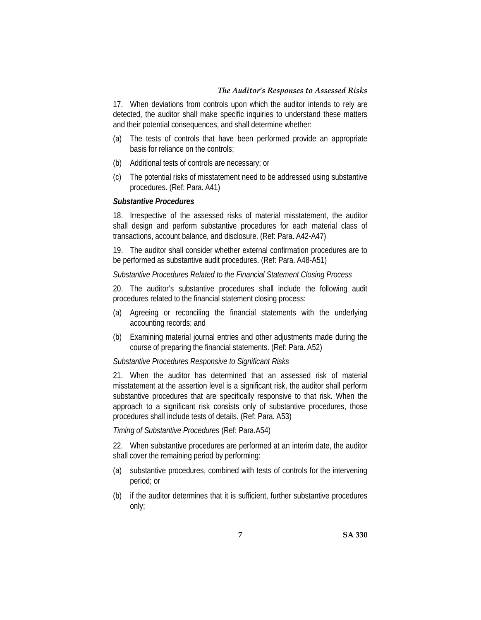17. When deviations from controls upon which the auditor intends to rely are detected, the auditor shall make specific inquiries to understand these matters and their potential consequences, and shall determine whether:

- (a) The tests of controls that have been performed provide an appropriate basis for reliance on the controls;
- (b) Additional tests of controls are necessary; or
- (c) The potential risks of misstatement need to be addressed using substantive procedures. (Ref: Para. A41)

## *Substantive Procedures*

18. Irrespective of the assessed risks of material misstatement, the auditor shall design and perform substantive procedures for each material class of transactions, account balance, and disclosure. (Ref: Para. A42-A47)

19. The auditor shall consider whether external confirmation procedures are to be performed as substantive audit procedures. (Ref: Para. A48-A51)

*Substantive Procedures Related to the Financial Statement Closing Process*

20. The auditor's substantive procedures shall include the following audit procedures related to the financial statement closing process:

- (a) Agreeing or reconciling the financial statements with the underlying accounting records; and
- (b) Examining material journal entries and other adjustments made during the course of preparing the financial statements. (Ref: Para. A52)

*Substantive Procedures Responsive to Significant Risks*

21. When the auditor has determined that an assessed risk of material misstatement at the assertion level is a significant risk, the auditor shall perform substantive procedures that are specifically responsive to that risk. When the approach to a significant risk consists only of substantive procedures, those procedures shall include tests of details. (Ref: Para. A53)

*Timing of Substantive Procedures* (Ref: Para.A54)

22. When substantive procedures are performed at an interim date, the auditor shall cover the remaining period by performing:

- (a) substantive procedures, combined with tests of controls for the intervening period; or
- (b) if the auditor determines that it is sufficient, further substantive procedures only;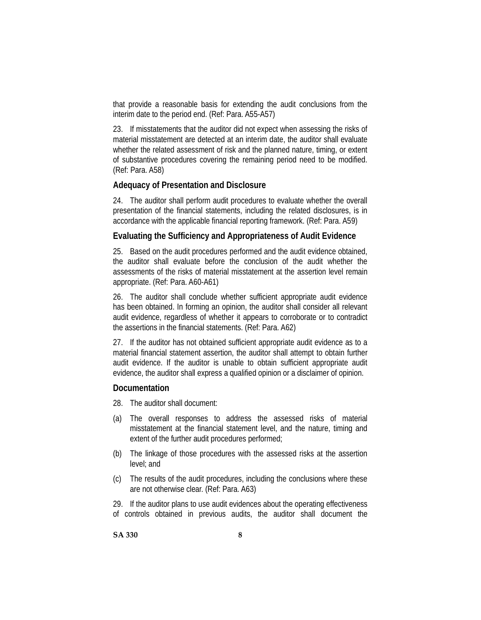that provide a reasonable basis for extending the audit conclusions from the interim date to the period end. (Ref: Para. A55-A57)

23. If misstatements that the auditor did not expect when assessing the risks of material misstatement are detected at an interim date, the auditor shall evaluate whether the related assessment of risk and the planned nature, timing, or extent of substantive procedures covering the remaining period need to be modified. (Ref: Para. A58)

#### **Adequacy of Presentation and Disclosure**

24. The auditor shall perform audit procedures to evaluate whether the overall presentation of the financial statements, including the related disclosures, is in accordance with the applicable financial reporting framework. (Ref: Para. A59)

#### **Evaluating the Sufficiency and Appropriateness of Audit Evidence**

25. Based on the audit procedures performed and the audit evidence obtained, the auditor shall evaluate before the conclusion of the audit whether the assessments of the risks of material misstatement at the assertion level remain appropriate. (Ref: Para. A60-A61)

26. The auditor shall conclude whether sufficient appropriate audit evidence has been obtained. In forming an opinion, the auditor shall consider all relevant audit evidence, regardless of whether it appears to corroborate or to contradict the assertions in the financial statements. (Ref: Para. A62)

27. If the auditor has not obtained sufficient appropriate audit evidence as to a material financial statement assertion, the auditor shall attempt to obtain further audit evidence. If the auditor is unable to obtain sufficient appropriate audit evidence, the auditor shall express a qualified opinion or a disclaimer of opinion.

### **Documentation**

- 28. The auditor shall document:
- (a) The overall responses to address the assessed risks of material misstatement at the financial statement level, and the nature, timing and extent of the further audit procedures performed;
- (b) The linkage of those procedures with the assessed risks at the assertion level; and
- (c) The results of the audit procedures, including the conclusions where these are not otherwise clear. (Ref: Para. A63)

29. If the auditor plans to use audit evidences about the operating effectiveness of controls obtained in previous audits, the auditor shall document the

#### **SA 330 8**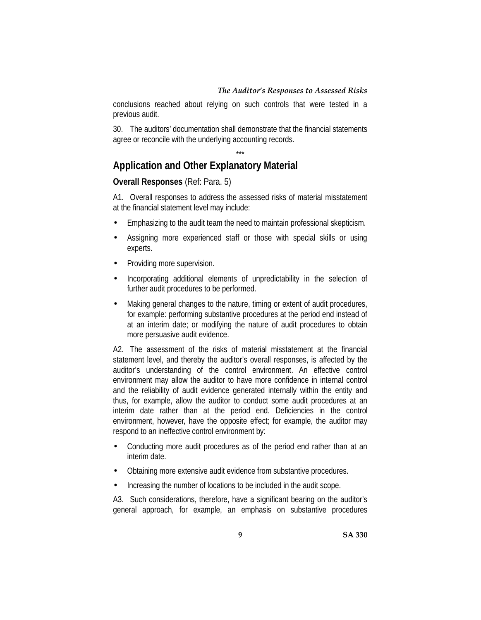conclusions reached about relying on such controls that were tested in a previous audit.

30. The auditors' documentation shall demonstrate that the financial statements agree or reconcile with the underlying accounting records.

\*\*\*

**Application and Other Explanatory Material**

**Overall Responses** (Ref: Para. 5)

A1. Overall responses to address the assessed risks of material misstatement at the financial statement level may include:

- Emphasizing to the audit team the need to maintain professional skepticism.
- Assigning more experienced staff or those with special skills or using experts.
- Providing more supervision.
- Incorporating additional elements of unpredictability in the selection of further audit procedures to be performed.
- Making general changes to the nature, timing or extent of audit procedures, for example: performing substantive procedures at the period end instead of at an interim date; or modifying the nature of audit procedures to obtain more persuasive audit evidence.

A2. The assessment of the risks of material misstatement at the financial statement level, and thereby the auditor's overall responses, is affected by the auditor's understanding of the control environment. An effective control environment may allow the auditor to have more confidence in internal control and the reliability of audit evidence generated internally within the entity and thus, for example, allow the auditor to conduct some audit procedures at an interim date rather than at the period end. Deficiencies in the control environment, however, have the opposite effect; for example, the auditor may respond to an ineffective control environment by:

- Conducting more audit procedures as of the period end rather than at an interim date.
- Obtaining more extensive audit evidence from substantive procedures.
- Increasing the number of locations to be included in the audit scope.

A3. Such considerations, therefore, have a significant bearing on the auditor's general approach, for example, an emphasis on substantive procedures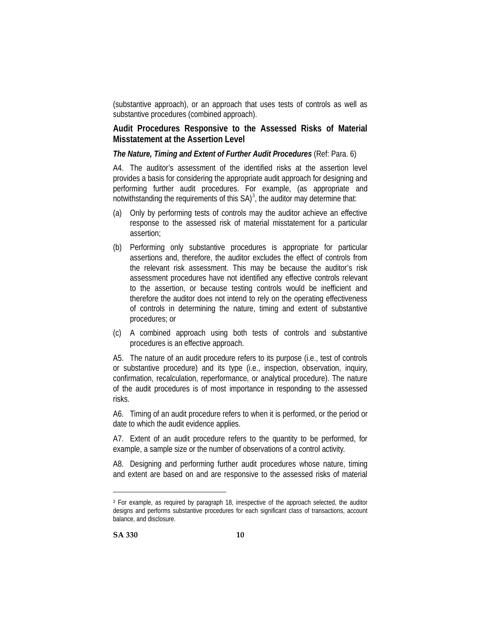(substantive approach), or an approach that uses tests of controls as well as substantive procedures (combined approach).

**Audit Procedures Responsive to the Assessed Risks of Material Misstatement at the Assertion Level**

*The Nature, Timing and Extent of Further Audit Procedures* (Ref: Para. 6)

A4. The auditor's assessment of the identified risks at the assertion level provides a basis for considering the appropriate audit approach for designing and performing further audit procedures. For example, (as appropriate and notwithstanding the requirements of this  $SA$ <sup>3</sup>, the auditor may determine that:

- (a) Only by performing tests of controls may the auditor achieve an effective response to the assessed risk of material misstatement for a particular assertion;
- (b) Performing only substantive procedures is appropriate for particular assertions and, therefore, the auditor excludes the effect of controls from the relevant risk assessment. This may be because the auditor's risk assessment procedures have not identified any effective controls relevant to the assertion, or because testing controls would be inefficient and therefore the auditor does not intend to rely on the operating effectiveness of controls in determining the nature, timing and extent of substantive procedures; or
- (c) A combined approach using both tests of controls and substantive procedures is an effective approach.

A5. The nature of an audit procedure refers to its purpose (i.e., test of controls or substantive procedure) and its type (i.e., inspection, observation, inquiry, confirmation, recalculation, reperformance, or analytical procedure). The nature of the audit procedures is of most importance in responding to the assessed risks.

A6. Timing of an audit procedure refers to when it is performed, or the period or date to which the audit evidence applies.

A7. Extent of an audit procedure refers to the quantity to be performed, for example, a sample size or the number of observations of a control activity.

A8. Designing and performing further audit procedures whose nature, timing and extent are based on and are responsive to the assessed risks of material

<sup>3</sup> For example, as required by paragraph 18, irrespective of the approach selected, the auditor designs and performs substantive procedures for each significant class of transactions, account balance, and disclosure.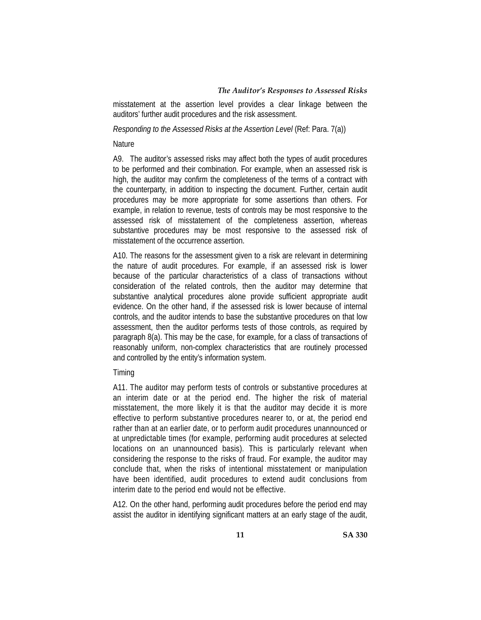misstatement at the assertion level provides a clear linkage between the auditors' further audit procedures and the risk assessment.

*Responding to the Assessed Risks at the Assertion Level* (Ref: Para. 7(a))

**Nature** 

A9. The auditor's assessed risks may affect both the types of audit procedures to be performed and their combination. For example, when an assessed risk is high, the auditor may confirm the completeness of the terms of a contract with the counterparty, in addition to inspecting the document. Further, certain audit procedures may be more appropriate for some assertions than others. For example, in relation to revenue, tests of controls may be most responsive to the assessed risk of misstatement of the completeness assertion, whereas substantive procedures may be most responsive to the assessed risk of misstatement of the occurrence assertion.

A10. The reasons for the assessment given to a risk are relevant in determining the nature of audit procedures. For example, if an assessed risk is lower because of the particular characteristics of a class of transactions without consideration of the related controls, then the auditor may determine that substantive analytical procedures alone provide sufficient appropriate audit evidence. On the other hand, if the assessed risk is lower because of internal controls, and the auditor intends to base the substantive procedures on that low assessment, then the auditor performs tests of those controls, as required by paragraph 8(a). This may be the case, for example, for a class of transactions of reasonably uniform, non-complex characteristics that are routinely processed and controlled by the entity's information system.

#### Timing

A11. The auditor may perform tests of controls or substantive procedures at an interim date or at the period end. The higher the risk of material misstatement, the more likely it is that the auditor may decide it is more effective to perform substantive procedures nearer to, or at, the period end rather than at an earlier date, or to perform audit procedures unannounced or at unpredictable times (for example, performing audit procedures at selected locations on an unannounced basis). This is particularly relevant when considering the response to the risks of fraud. For example, the auditor may conclude that, when the risks of intentional misstatement or manipulation have been identified, audit procedures to extend audit conclusions from interim date to the period end would not be effective.

A12. On the other hand, performing audit procedures before the period end may assist the auditor in identifying significant matters at an early stage of the audit,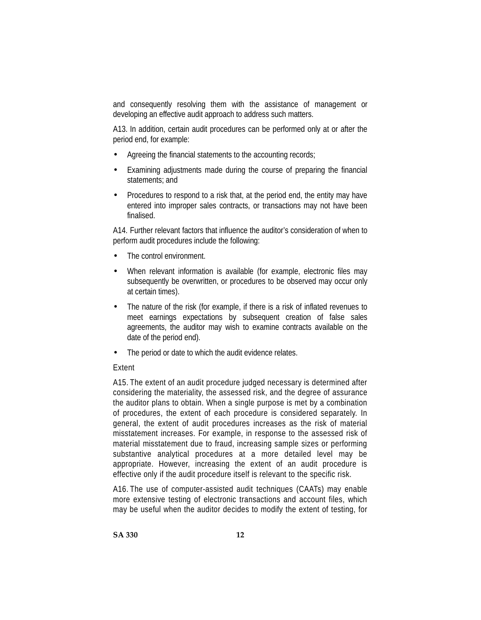and consequently resolving them with the assistance of management or developing an effective audit approach to address such matters.

A13. In addition, certain audit procedures can be performed only at or after the period end, for example:

- Agreeing the financial statements to the accounting records;
- Examining adjustments made during the course of preparing the financial statements; and
- Procedures to respond to a risk that, at the period end, the entity may have entered into improper sales contracts, or transactions may not have been finalised.

A14. Further relevant factors that influence the auditor's consideration of when to perform audit procedures include the following:

- The control environment.
- When relevant information is available (for example, electronic files may subsequently be overwritten, or procedures to be observed may occur only at certain times).
- The nature of the risk (for example, if there is a risk of inflated revenues to meet earnings expectations by subsequent creation of false sales agreements, the auditor may wish to examine contracts available on the date of the period end).
- The period or date to which the audit evidence relates.

#### Extent

A15. The extent of an audit procedure judged necessary is determined after considering the materiality, the assessed risk, and the degree of assurance the auditor plans to obtain. When a single purpose is met by a combination of procedures, the extent of each procedure is considered separately. In general, the extent of audit procedures increases as the risk of material misstatement increases. For example, in response to the assessed risk of material misstatement due to fraud, increasing sample sizes or performing substantive analytical procedures at a more detailed level may be appropriate. However, increasing the extent of an audit procedure is effective only if the audit procedure itself is relevant to the specific risk.

A16. The use of computer-assisted audit techniques (CAATs) may enable more extensive testing of electronic transactions and account files, which may be useful when the auditor decides to modify the extent of testing, for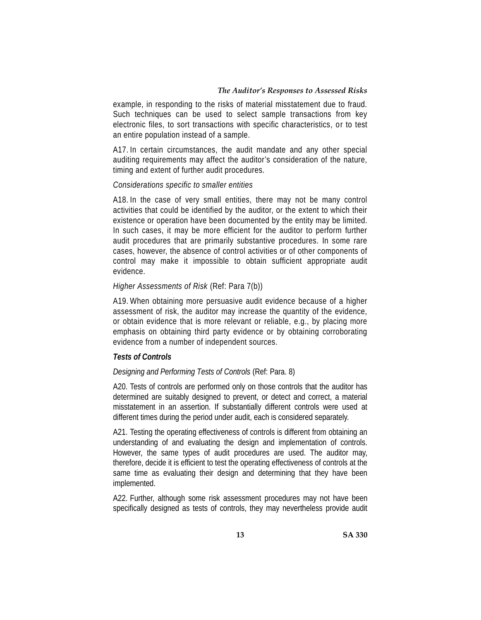example, in responding to the risks of material misstatement due to fraud. Such techniques can be used to select sample transactions from key electronic files, to sort transactions with specific characteristics, or to test an entire population instead of a sample.

A17. In certain circumstances, the audit mandate and any other special auditing requirements may affect the auditor's consideration of the nature, timing and extent of further audit procedures.

*Considerations specific to smaller entities*

A18. In the case of very small entities, there may not be many control activities that could be identified by the auditor, or the extent to which their existence or operation have been documented by the entity may be limited. In such cases, it may be more efficient for the auditor to perform further audit procedures that are primarily substantive procedures. In some rare cases, however, the absence of control activities or of other components of control may make it impossible to obtain sufficient appropriate audit evidence.

#### *Higher Assessments of Risk* (Ref: Para 7(b))

A19. When obtaining more persuasive audit evidence because of a higher assessment of risk, the auditor may increase the quantity of the evidence, or obtain evidence that is more relevant or reliable, e.g., by placing more emphasis on obtaining third party evidence or by obtaining corroborating evidence from a number of independent sources.

#### *Tests of Controls*

#### *Designing and Performing Tests of Controls* (Ref: Para. 8)

A20. Tests of controls are performed only on those controls that the auditor has determined are suitably designed to prevent, or detect and correct, a material misstatement in an assertion. If substantially different controls were used at different times during the period under audit, each is considered separately.

A21. Testing the operating effectiveness of controls is different from obtaining an understanding of and evaluating the design and implementation of controls. However, the same types of audit procedures are used. The auditor may, therefore, decide it is efficient to test the operating effectiveness of controls at the same time as evaluating their design and determining that they have been implemented.

A22. Further, although some risk assessment procedures may not have been specifically designed as tests of controls, they may nevertheless provide audit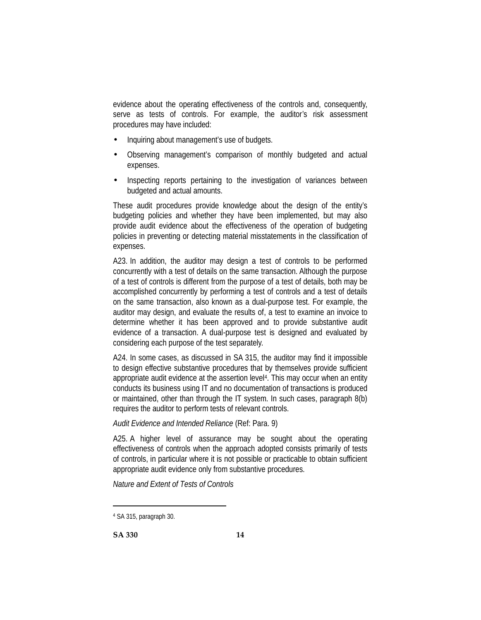evidence about the operating effectiveness of the controls and, consequently, serve as tests of controls. For example, the auditor's risk assessment procedures may have included:

- Inquiring about management's use of budgets.
- Observing management's comparison of monthly budgeted and actual expenses.
- Inspecting reports pertaining to the investigation of variances between budgeted and actual amounts.

These audit procedures provide knowledge about the design of the entity's budgeting policies and whether they have been implemented, but may also provide audit evidence about the effectiveness of the operation of budgeting policies in preventing or detecting material misstatements in the classification of expenses.

A23. In addition, the auditor may design a test of controls to be performed concurrently with a test of details on the same transaction. Although the purpose of a test of controls is different from the purpose of a test of details, both may be accomplished concurrently by performing a test of controls and a test of details on the same transaction, also known as a dual-purpose test. For example, the auditor may design, and evaluate the results of, a test to examine an invoice to determine whether it has been approved and to provide substantive audit evidence of a transaction. A dual-purpose test is designed and evaluated by considering each purpose of the test separately.

A24. In some cases, as discussed in SA 315, the auditor may find it impossible to design effective substantive procedures that by themselves provide sufficient appropriate audit evidence at the assertion level<sup>4</sup> . This may occur when an entity conducts its business using IT and no documentation of transactions is produced or maintained, other than through the IT system. In such cases, paragraph 8(b) requires the auditor to perform tests of relevant controls.

*Audit Evidence and Intended Reliance* (Ref: Para. 9)

A25. A higher level of assurance may be sought about the operating effectiveness of controls when the approach adopted consists primarily of tests of controls, in particular where it is not possible or practicable to obtain sufficient appropriate audit evidence only from substantive procedures.

*Nature and Extent of Tests of Controls*

<sup>4</sup> SA 315, paragraph 30.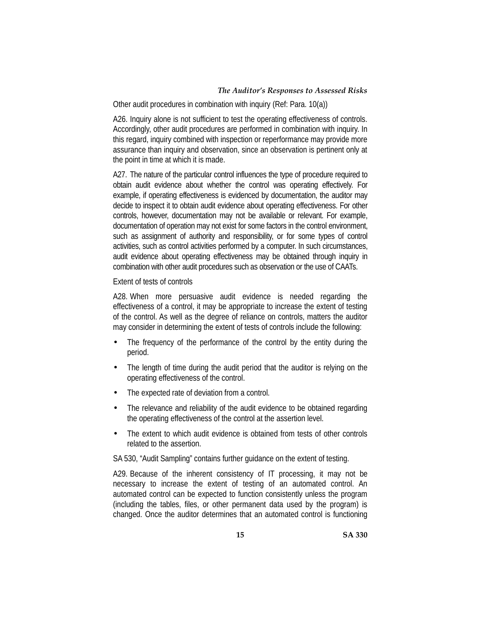Other audit procedures in combination with inquiry (Ref: Para. 10(a))

A26. Inquiry alone is not sufficient to test the operating effectiveness of controls. Accordingly, other audit procedures are performed in combination with inquiry. In this regard, inquiry combined with inspection or reperformance may provide more assurance than inquiry and observation, since an observation is pertinent only at the point in time at which it is made.

A27. The nature of the particular control influences the type of procedure required to obtain audit evidence about whether the control was operating effectively. For example, if operating effectiveness is evidenced by documentation, the auditor may decide to inspect it to obtain audit evidence about operating effectiveness. For other controls, however, documentation may not be available or relevant. For example, documentation of operation may not exist for some factors in the control environment, such as assignment of authority and responsibility, or for some types of control activities, such as control activities performed by a computer. In such circumstances, audit evidence about operating effectiveness may be obtained through inquiry in combination with other audit procedures such as observation or the use of CAATs.

#### Extent of tests of controls

A28. When more persuasive audit evidence is needed regarding the effectiveness of a control, it may be appropriate to increase the extent of testing of the control. As well as the degree of reliance on controls, matters the auditor may consider in determining the extent of tests of controls include the following:

- The frequency of the performance of the control by the entity during the period.
- The length of time during the audit period that the auditor is relying on the operating effectiveness of the control.
- The expected rate of deviation from a control.
- The relevance and reliability of the audit evidence to be obtained regarding the operating effectiveness of the control at the assertion level.
- The extent to which audit evidence is obtained from tests of other controls related to the assertion.

SA 530, "Audit Sampling" contains further guidance on the extent of testing.

A29. Because of the inherent consistency of IT processing, it may not be necessary to increase the extent of testing of an automated control. An automated control can be expected to function consistently unless the program (including the tables, files, or other permanent data used by the program) is changed. Once the auditor determines that an automated control is functioning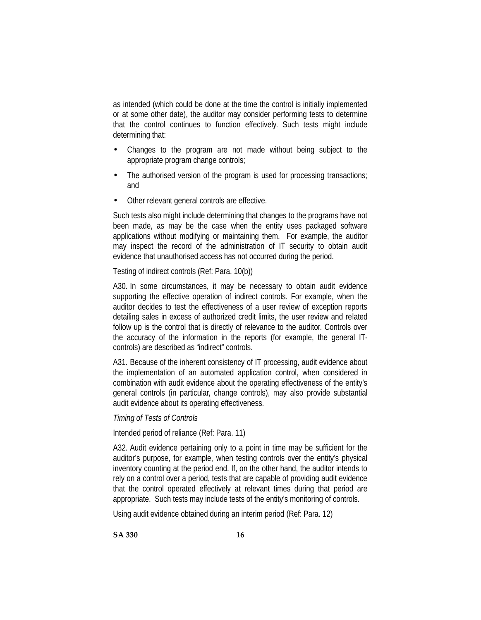as intended (which could be done at the time the control is initially implemented or at some other date), the auditor may consider performing tests to determine that the control continues to function effectively. Such tests might include determining that:

- Changes to the program are not made without being subject to the appropriate program change controls;
- The authorised version of the program is used for processing transactions; and
- Other relevant general controls are effective.

Such tests also might include determining that changes to the programs have not been made, as may be the case when the entity uses packaged software applications without modifying or maintaining them. For example, the auditor may inspect the record of the administration of IT security to obtain audit evidence that unauthorised access has not occurred during the period.

Testing of indirect controls (Ref: Para. 10(b))

A30. In some circumstances, it may be necessary to obtain audit evidence supporting the effective operation of indirect controls. For example, when the auditor decides to test the effectiveness of a user review of exception reports detailing sales in excess of authorized credit limits, the user review and related follow up is the control that is directly of relevance to the auditor. Controls over the accuracy of the information in the reports (for example, the general ITcontrols) are described as "indirect" controls.

A31. Because of the inherent consistency of IT processing, audit evidence about the implementation of an automated application control, when considered in combination with audit evidence about the operating effectiveness of the entity's general controls (in particular, change controls), may also provide substantial audit evidence about its operating effectiveness.

*Timing of Tests of Controls*

Intended period of reliance (Ref: Para. 11)

A32. Audit evidence pertaining only to a point in time may be sufficient for the auditor's purpose, for example, when testing controls over the entity's physical inventory counting at the period end. If, on the other hand, the auditor intends to rely on a control over a period, tests that are capable of providing audit evidence that the control operated effectively at relevant times during that period are appropriate. Such tests may include tests of the entity's monitoring of controls.

Using audit evidence obtained during an interim period (Ref: Para. 12)

**SA 330 16**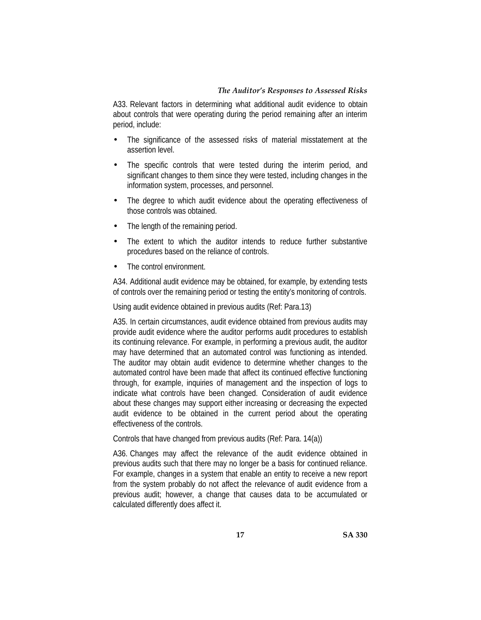A33. Relevant factors in determining what additional audit evidence to obtain about controls that were operating during the period remaining after an interim period, include:

- The significance of the assessed risks of material misstatement at the assertion level.
- The specific controls that were tested during the interim period, and significant changes to them since they were tested, including changes in the information system, processes, and personnel.
- The degree to which audit evidence about the operating effectiveness of those controls was obtained.
- The length of the remaining period.
- The extent to which the auditor intends to reduce further substantive procedures based on the reliance of controls.
- The control environment.

A34. Additional audit evidence may be obtained, for example, by extending tests of controls over the remaining period or testing the entity's monitoring of controls.

Using audit evidence obtained in previous audits (Ref: Para.13)

A35. In certain circumstances, audit evidence obtained from previous audits may provide audit evidence where the auditor performs audit procedures to establish its continuing relevance. For example, in performing a previous audit, the auditor may have determined that an automated control was functioning as intended. The auditor may obtain audit evidence to determine whether changes to the automated control have been made that affect its continued effective functioning through, for example, inquiries of management and the inspection of logs to indicate what controls have been changed. Consideration of audit evidence about these changes may support either increasing or decreasing the expected audit evidence to be obtained in the current period about the operating effectiveness of the controls.

Controls that have changed from previous audits (Ref: Para. 14(a))

A36. Changes may affect the relevance of the audit evidence obtained in previous audits such that there may no longer be a basis for continued reliance. For example, changes in a system that enable an entity to receive a new report from the system probably do not affect the relevance of audit evidence from a previous audit; however, a change that causes data to be accumulated or calculated differently does affect it.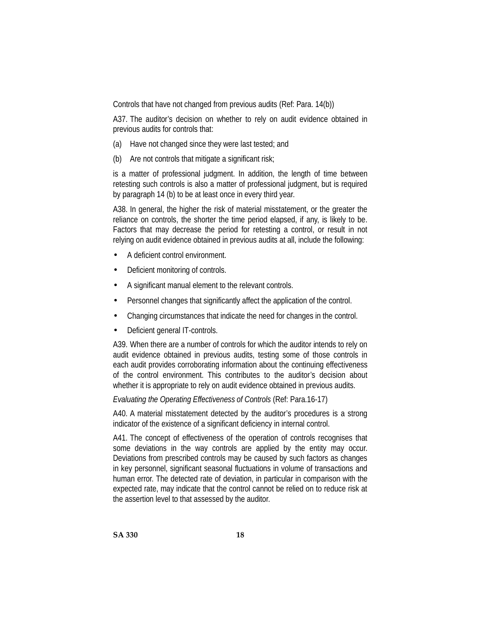Controls that have not changed from previous audits (Ref: Para. 14(b))

A37. The auditor's decision on whether to rely on audit evidence obtained in previous audits for controls that:

- (a) Have not changed since they were last tested; and
- (b) Are not controls that mitigate a significant risk;

is a matter of professional judgment. In addition, the length of time between retesting such controls is also a matter of professional judgment, but is required by paragraph 14 (b) to be at least once in every third year.

A38. In general, the higher the risk of material misstatement, or the greater the reliance on controls, the shorter the time period elapsed, if any, is likely to be. Factors that may decrease the period for retesting a control, or result in not relying on audit evidence obtained in previous audits at all, include the following:

- A deficient control environment.
- Deficient monitoring of controls.
- A significant manual element to the relevant controls.
- Personnel changes that significantly affect the application of the control.
- Changing circumstances that indicate the need for changes in the control.
- Deficient general IT-controls.

A39. When there are a number of controls for which the auditor intends to rely on audit evidence obtained in previous audits, testing some of those controls in each audit provides corroborating information about the continuing effectiveness of the control environment. This contributes to the auditor's decision about whether it is appropriate to rely on audit evidence obtained in previous audits.

*Evaluating the Operating Effectiveness of Controls* (Ref: Para.16-17)

A40. A material misstatement detected by the auditor's procedures is a strong indicator of the existence of a significant deficiency in internal control.

A41. The concept of effectiveness of the operation of controls recognises that some deviations in the way controls are applied by the entity may occur. Deviations from prescribed controls may be caused by such factors as changes in key personnel, significant seasonal fluctuations in volume of transactions and human error. The detected rate of deviation, in particular in comparison with the expected rate, may indicate that the control cannot be relied on to reduce risk at the assertion level to that assessed by the auditor.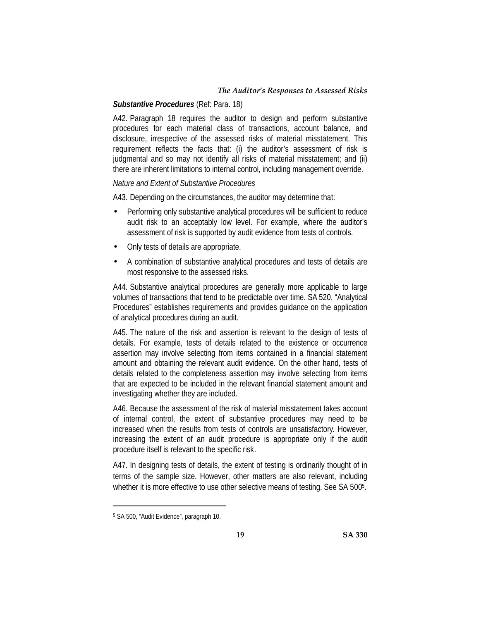*Substantive Procedures* (Ref: Para. 18)

A42. Paragraph 18 requires the auditor to design and perform substantive procedures for each material class of transactions, account balance, and disclosure, irrespective of the assessed risks of material misstatement. This requirement reflects the facts that: (i) the auditor's assessment of risk is judgmental and so may not identify all risks of material misstatement; and (ii) there are inherent limitations to internal control, including management override.

*Nature and Extent of Substantive Procedures*

A43. Depending on the circumstances, the auditor may determine that:

- Performing only substantive analytical procedures will be sufficient to reduce audit risk to an acceptably low level. For example, where the auditor's assessment of risk is supported by audit evidence from tests of controls.
- Only tests of details are appropriate.
- A combination of substantive analytical procedures and tests of details are most responsive to the assessed risks.

A44. Substantive analytical procedures are generally more applicable to large volumes of transactions that tend to be predictable over time. SA 520, "Analytical Procedures" establishes requirements and provides guidance on the application of analytical procedures during an audit.

A45. The nature of the risk and assertion is relevant to the design of tests of details. For example, tests of details related to the existence or occurrence assertion may involve selecting from items contained in a financial statement amount and obtaining the relevant audit evidence. On the other hand, tests of details related to the completeness assertion may involve selecting from items that are expected to be included in the relevant financial statement amount and investigating whether they are included.

A46. Because the assessment of the risk of material misstatement takes account of internal control, the extent of substantive procedures may need to be increased when the results from tests of controls are unsatisfactory. However, increasing the extent of an audit procedure is appropriate only if the audit procedure itself is relevant to the specific risk.

A47. In designing tests of details, the extent of testing is ordinarily thought of in terms of the sample size. However, other matters are also relevant, including whether it is more effective to use other selective means of testing. See SA 500<sup>5</sup>.

<sup>5</sup> SA 500, "Audit Evidence", paragraph 10.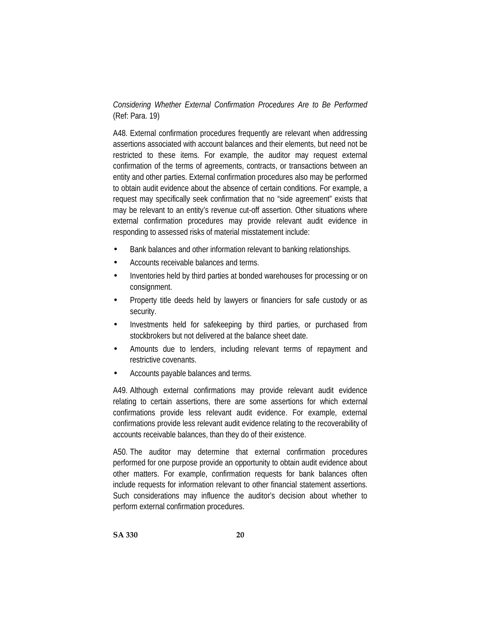*Considering Whether External Confirmation Procedures Are to Be Performed* (Ref: Para. 19)

A48. External confirmation procedures frequently are relevant when addressing assertions associated with account balances and their elements, but need not be restricted to these items. For example, the auditor may request external confirmation of the terms of agreements, contracts, or transactions between an entity and other parties. External confirmation procedures also may be performed to obtain audit evidence about the absence of certain conditions. For example, a request may specifically seek confirmation that no "side agreement" exists that may be relevant to an entity's revenue cut-off assertion. Other situations where external confirmation procedures may provide relevant audit evidence in responding to assessed risks of material misstatement include:

- Bank balances and other information relevant to banking relationships.
- Accounts receivable balances and terms.
- Inventories held by third parties at bonded warehouses for processing or on consignment.
- Property title deeds held by lawyers or financiers for safe custody or as security.
- Investments held for safekeeping by third parties, or purchased from stockbrokers but not delivered at the balance sheet date.
- Amounts due to lenders, including relevant terms of repayment and restrictive covenants.
- Accounts payable balances and terms.

A49. Although external confirmations may provide relevant audit evidence relating to certain assertions, there are some assertions for which external confirmations provide less relevant audit evidence. For example, external confirmations provide less relevant audit evidence relating to the recoverability of accounts receivable balances, than they do of their existence.

A50. The auditor may determine that external confirmation procedures performed for one purpose provide an opportunity to obtain audit evidence about other matters. For example, confirmation requests for bank balances often include requests for information relevant to other financial statement assertions. Such considerations may influence the auditor's decision about whether to perform external confirmation procedures.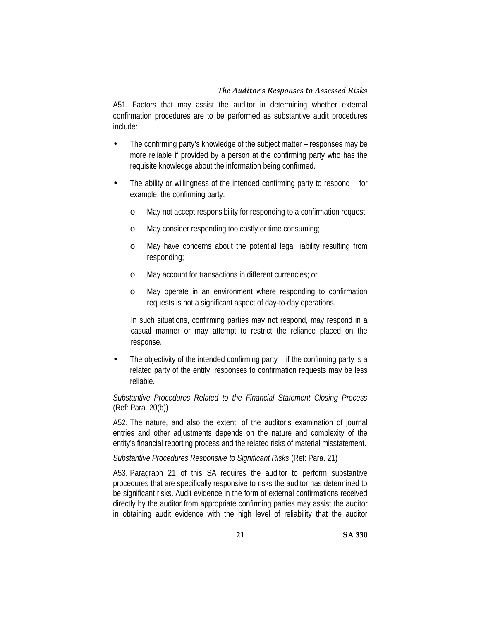A51. Factors that may assist the auditor in determining whether external confirmation procedures are to be performed as substantive audit procedures include:

- The confirming party's knowledge of the subject matter responses may be more reliable if provided by a person at the confirming party who has the requisite knowledge about the information being confirmed.
- The ability or willingness of the intended confirming party to respond for example, the confirming party:
	- o May not accept responsibility for responding to a confirmation request;
	- o May consider responding too costly or time consuming;
	- o May have concerns about the potential legal liability resulting from responding;
	- o May account for transactions in different currencies; or
	- o May operate in an environment where responding to confirmation requests is not a significant aspect of day-to-day operations.

In such situations, confirming parties may not respond, may respond in a casual manner or may attempt to restrict the reliance placed on the response.

 The objectivity of the intended confirming party – if the confirming party is a related party of the entity, responses to confirmation requests may be less reliable.

*Substantive Procedures Related to the Financial Statement Closing Process* (Ref: Para. 20(b))

A52. The nature, and also the extent, of the auditor's examination of journal entries and other adjustments depends on the nature and complexity of the entity's financial reporting process and the related risks of material misstatement.

*Substantive Procedures Responsive to Significant Risks* (Ref: Para. 21)

A53. Paragraph 21 of this SA requires the auditor to perform substantive procedures that are specifically responsive to risks the auditor has determined to be significant risks. Audit evidence in the form of external confirmations received directly by the auditor from appropriate confirming parties may assist the auditor in obtaining audit evidence with the high level of reliability that the auditor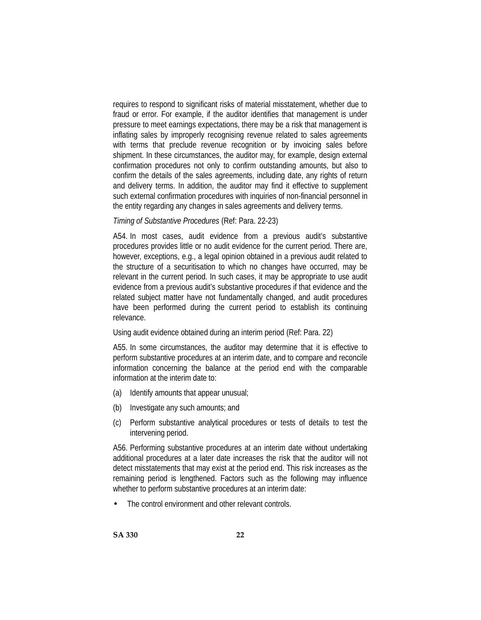requires to respond to significant risks of material misstatement, whether due to fraud or error. For example, if the auditor identifies that management is under pressure to meet earnings expectations, there may be a risk that management is inflating sales by improperly recognising revenue related to sales agreements with terms that preclude revenue recognition or by invoicing sales before shipment. In these circumstances, the auditor may, for example, design external confirmation procedures not only to confirm outstanding amounts, but also to confirm the details of the sales agreements, including date, any rights of return and delivery terms. In addition, the auditor may find it effective to supplement such external confirmation procedures with inquiries of non-financial personnel in the entity regarding any changes in sales agreements and delivery terms.

*Timing of Substantive Procedures* (Ref: Para. 22-23)

A54. In most cases, audit evidence from a previous audit's substantive procedures provides little or no audit evidence for the current period. There are, however, exceptions, e.g., a legal opinion obtained in a previous audit related to the structure of a securitisation to which no changes have occurred, may be relevant in the current period. In such cases, it may be appropriate to use audit evidence from a previous audit's substantive procedures if that evidence and the related subject matter have not fundamentally changed, and audit procedures have been performed during the current period to establish its continuing relevance.

Using audit evidence obtained during an interim period (Ref: Para. 22)

A55. In some circumstances, the auditor may determine that it is effective to perform substantive procedures at an interim date, and to compare and reconcile information concerning the balance at the period end with the comparable information at the interim date to:

- (a) Identify amounts that appear unusual;
- (b) Investigate any such amounts; and
- (c) Perform substantive analytical procedures or tests of details to test the intervening period.

A56. Performing substantive procedures at an interim date without undertaking additional procedures at a later date increases the risk that the auditor will not detect misstatements that may exist at the period end. This risk increases as the remaining period is lengthened. Factors such as the following may influence whether to perform substantive procedures at an interim date:

The control environment and other relevant controls.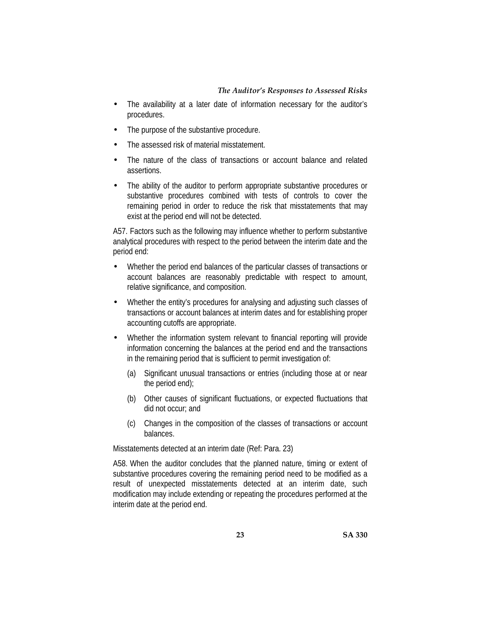- The availability at a later date of information necessary for the auditor's procedures.
- The purpose of the substantive procedure.
- The assessed risk of material misstatement.
- The nature of the class of transactions or account balance and related assertions.
- The ability of the auditor to perform appropriate substantive procedures or substantive procedures combined with tests of controls to cover the remaining period in order to reduce the risk that misstatements that may exist at the period end will not be detected.

A57. Factors such as the following may influence whether to perform substantive analytical procedures with respect to the period between the interim date and the period end:

- Whether the period end balances of the particular classes of transactions or account balances are reasonably predictable with respect to amount, relative significance, and composition.
- Whether the entity's procedures for analysing and adjusting such classes of transactions or account balances at interim dates and for establishing proper accounting cutoffs are appropriate.
- Whether the information system relevant to financial reporting will provide information concerning the balances at the period end and the transactions in the remaining period that is sufficient to permit investigation of:
	- (a) Significant unusual transactions or entries (including those at or near the period end);
	- (b) Other causes of significant fluctuations, or expected fluctuations that did not occur; and
	- (c) Changes in the composition of the classes of transactions or account balances.

Misstatements detected at an interim date (Ref: Para. 23)

A58. When the auditor concludes that the planned nature, timing or extent of substantive procedures covering the remaining period need to be modified as a result of unexpected misstatements detected at an interim date, such modification may include extending or repeating the procedures performed at the interim date at the period end.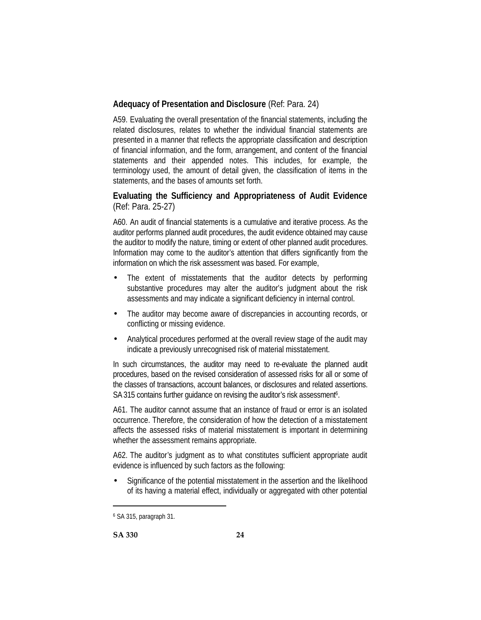**Adequacy of Presentation and Disclosure** (Ref: Para. 24)

A59. Evaluating the overall presentation of the financial statements, including the related disclosures, relates to whether the individual financial statements are presented in a manner that reflects the appropriate classification and description of financial information, and the form, arrangement, and content of the financial statements and their appended notes. This includes, for example, the terminology used, the amount of detail given, the classification of items in the statements, and the bases of amounts set forth.

**Evaluating the Sufficiency and Appropriateness of Audit Evidence** (Ref: Para. 25-27)

A60. An audit of financial statements is a cumulative and iterative process. As the auditor performs planned audit procedures, the audit evidence obtained may cause the auditor to modify the nature, timing or extent of other planned audit procedures. Information may come to the auditor's attention that differs significantly from the information on which the risk assessment was based. For example,

- The extent of misstatements that the auditor detects by performing substantive procedures may alter the auditor's judgment about the risk assessments and may indicate a significant deficiency in internal control.
- The auditor may become aware of discrepancies in accounting records, or conflicting or missing evidence.
- Analytical procedures performed at the overall review stage of the audit may indicate a previously unrecognised risk of material misstatement.

In such circumstances, the auditor may need to re-evaluate the planned audit procedures, based on the revised consideration of assessed risks for all or some of the classes of transactions, account balances, or disclosures and related assertions. SA 315 contains further guidance on revising the auditor's risk assessment<sup>6</sup>.

A61. The auditor cannot assume that an instance of fraud or error is an isolated occurrence. Therefore, the consideration of how the detection of a misstatement affects the assessed risks of material misstatement is important in determining whether the assessment remains appropriate.

A62. The auditor's judgment as to what constitutes sufficient appropriate audit evidence is influenced by such factors as the following:

 Significance of the potential misstatement in the assertion and the likelihood of its having a material effect, individually or aggregated with other potential

<sup>6</sup> SA 315, paragraph 31.